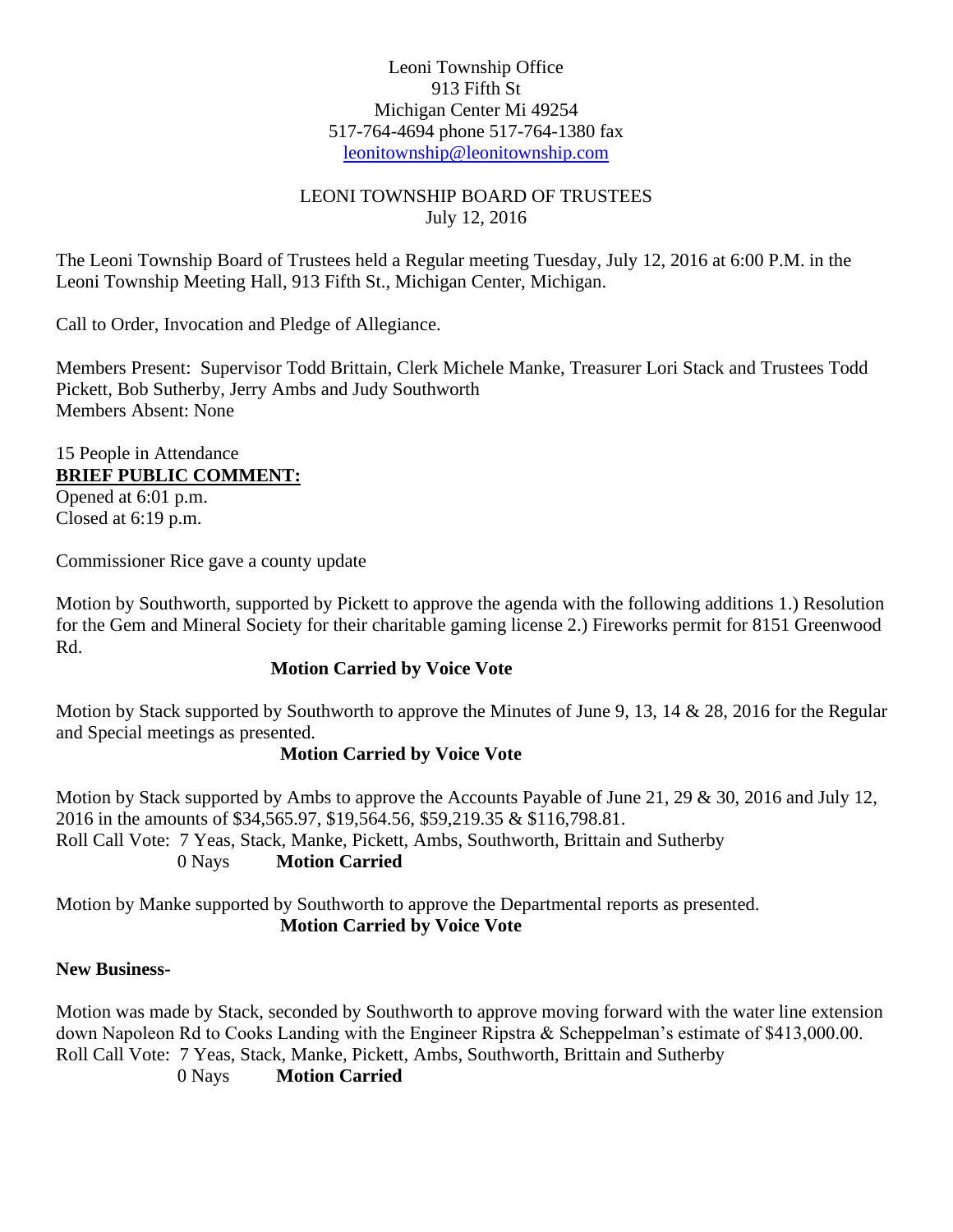#### Leoni Township Office 913 Fifth St Michigan Center Mi 49254 517-764-4694 phone 517-764-1380 fax [leonitownship@leonitownship.com](mailto:leonitownship@leonitownship.com)

### LEONI TOWNSHIP BOARD OF TRUSTEES July 12, 2016

The Leoni Township Board of Trustees held a Regular meeting Tuesday, July 12, 2016 at 6:00 P.M. in the Leoni Township Meeting Hall, 913 Fifth St., Michigan Center, Michigan.

Call to Order, Invocation and Pledge of Allegiance.

Members Present: Supervisor Todd Brittain, Clerk Michele Manke, Treasurer Lori Stack and Trustees Todd Pickett, Bob Sutherby, Jerry Ambs and Judy Southworth Members Absent: None

## 15 People in Attendance **BRIEF PUBLIC COMMENT:**

Opened at 6:01 p.m. Closed at 6:19 p.m.

Commissioner Rice gave a county update

Motion by Southworth, supported by Pickett to approve the agenda with the following additions 1.) Resolution for the Gem and Mineral Society for their charitable gaming license 2.) Fireworks permit for 8151 Greenwood Rd.

## **Motion Carried by Voice Vote**

Motion by Stack supported by Southworth to approve the Minutes of June 9, 13, 14 & 28, 2016 for the Regular and Special meetings as presented.

### **Motion Carried by Voice Vote**

Motion by Stack supported by Ambs to approve the Accounts Payable of June 21, 29 & 30, 2016 and July 12, 2016 in the amounts of \$34,565.97, \$19,564.56, \$59,219.35 & \$116,798.81. Roll Call Vote: 7 Yeas, Stack, Manke, Pickett, Ambs, Southworth, Brittain and Sutherby

0 Nays **Motion Carried**

Motion by Manke supported by Southworth to approve the Departmental reports as presented. **Motion Carried by Voice Vote**

### **New Business-**

Motion was made by Stack, seconded by Southworth to approve moving forward with the water line extension down Napoleon Rd to Cooks Landing with the Engineer Ripstra & Scheppelman's estimate of \$413,000.00. Roll Call Vote: 7 Yeas, Stack, Manke, Pickett, Ambs, Southworth, Brittain and Sutherby

0 Nays **Motion Carried**